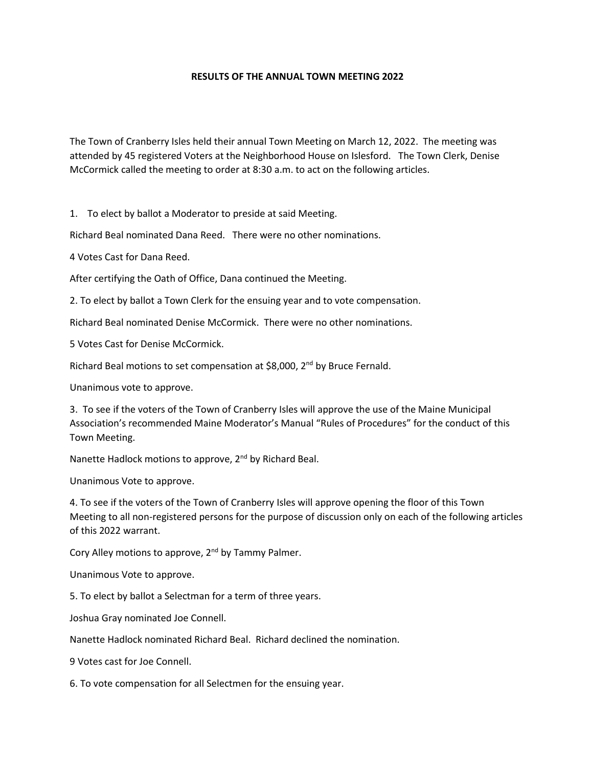## **RESULTS OF THE ANNUAL TOWN MEETING 2022**

The Town of Cranberry Isles held their annual Town Meeting on March 12, 2022. The meeting was attended by 45 registered Voters at the Neighborhood House on Islesford. The Town Clerk, Denise McCormick called the meeting to order at 8:30 a.m. to act on the following articles.

1. To elect by ballot a Moderator to preside at said Meeting.

Richard Beal nominated Dana Reed. There were no other nominations.

4 Votes Cast for Dana Reed.

After certifying the Oath of Office, Dana continued the Meeting.

2. To elect by ballot a Town Clerk for the ensuing year and to vote compensation.

Richard Beal nominated Denise McCormick. There were no other nominations.

5 Votes Cast for Denise McCormick.

Richard Beal motions to set compensation at \$8,000, 2<sup>nd</sup> by Bruce Fernald.

Unanimous vote to approve.

3. To see if the voters of the Town of Cranberry Isles will approve the use of the Maine Municipal Association's recommended Maine Moderator's Manual "Rules of Procedures" for the conduct of this Town Meeting.

Nanette Hadlock motions to approve, 2<sup>nd</sup> by Richard Beal.

Unanimous Vote to approve.

4. To see if the voters of the Town of Cranberry Isles will approve opening the floor of this Town Meeting to all non-registered persons for the purpose of discussion only on each of the following articles of this 2022 warrant.

Cory Alley motions to approve, 2<sup>nd</sup> by Tammy Palmer.

Unanimous Vote to approve.

5. To elect by ballot a Selectman for a term of three years.

Joshua Gray nominated Joe Connell.

Nanette Hadlock nominated Richard Beal. Richard declined the nomination.

9 Votes cast for Joe Connell.

6. To vote compensation for all Selectmen for the ensuing year.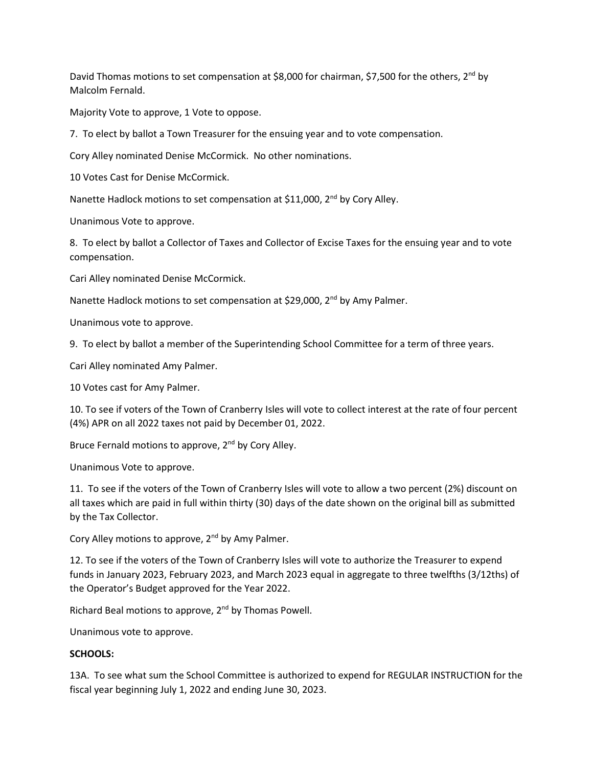David Thomas motions to set compensation at \$8,000 for chairman, \$7,500 for the others,  $2^{nd}$  by Malcolm Fernald.

Majority Vote to approve, 1 Vote to oppose.

7. To elect by ballot a Town Treasurer for the ensuing year and to vote compensation.

Cory Alley nominated Denise McCormick. No other nominations.

10 Votes Cast for Denise McCormick.

Nanette Hadlock motions to set compensation at \$11,000, 2<sup>nd</sup> by Cory Alley.

Unanimous Vote to approve.

8. To elect by ballot a Collector of Taxes and Collector of Excise Taxes for the ensuing year and to vote compensation.

Cari Alley nominated Denise McCormick.

Nanette Hadlock motions to set compensation at \$29,000, 2<sup>nd</sup> by Amy Palmer.

Unanimous vote to approve.

9. To elect by ballot a member of the Superintending School Committee for a term of three years.

Cari Alley nominated Amy Palmer.

10 Votes cast for Amy Palmer.

10. To see if voters of the Town of Cranberry Isles will vote to collect interest at the rate of four percent (4%) APR on all 2022 taxes not paid by December 01, 2022.

Bruce Fernald motions to approve, 2<sup>nd</sup> by Cory Alley.

Unanimous Vote to approve.

11. To see if the voters of the Town of Cranberry Isles will vote to allow a two percent (2%) discount on all taxes which are paid in full within thirty (30) days of the date shown on the original bill as submitted by the Tax Collector.

Cory Alley motions to approve, 2<sup>nd</sup> by Amy Palmer.

12. To see if the voters of the Town of Cranberry Isles will vote to authorize the Treasurer to expend funds in January 2023, February 2023, and March 2023 equal in aggregate to three twelfths (3/12ths) of the Operator's Budget approved for the Year 2022.

Richard Beal motions to approve, 2<sup>nd</sup> by Thomas Powell.

Unanimous vote to approve.

## **SCHOOLS:**

13A. To see what sum the School Committee is authorized to expend for REGULAR INSTRUCTION for the fiscal year beginning July 1, 2022 and ending June 30, 2023.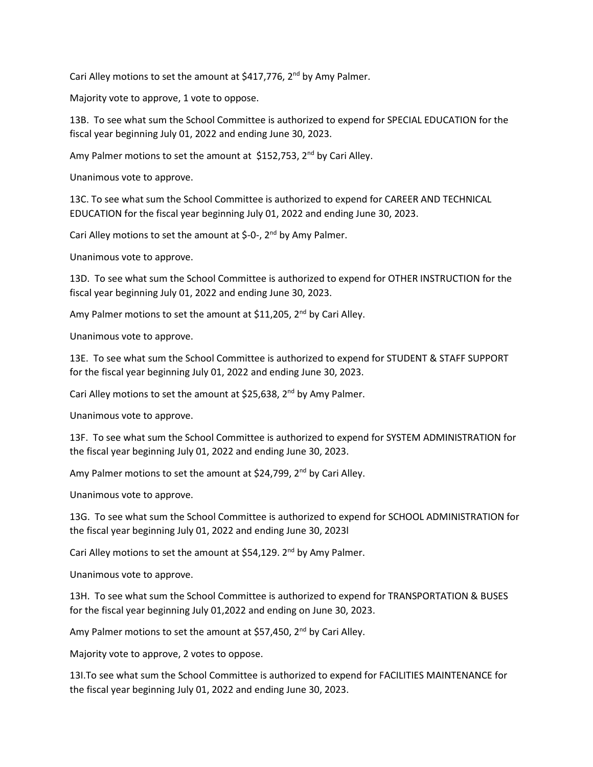Cari Alley motions to set the amount at  $$417,776$ ,  $2^{nd}$  by Amy Palmer.

Majority vote to approve, 1 vote to oppose.

13B. To see what sum the School Committee is authorized to expend for SPECIAL EDUCATION for the fiscal year beginning July 01, 2022 and ending June 30, 2023.

Amy Palmer motions to set the amount at \$152,753, 2<sup>nd</sup> by Cari Alley.

Unanimous vote to approve.

13C. To see what sum the School Committee is authorized to expend for CAREER AND TECHNICAL EDUCATION for the fiscal year beginning July 01, 2022 and ending June 30, 2023.

Cari Alley motions to set the amount at  $\zeta$ -0-, 2<sup>nd</sup> by Amy Palmer.

Unanimous vote to approve.

13D. To see what sum the School Committee is authorized to expend for OTHER INSTRUCTION for the fiscal year beginning July 01, 2022 and ending June 30, 2023.

Amy Palmer motions to set the amount at \$11,205,  $2^{nd}$  by Cari Alley.

Unanimous vote to approve.

13E. To see what sum the School Committee is authorized to expend for STUDENT & STAFF SUPPORT for the fiscal year beginning July 01, 2022 and ending June 30, 2023.

Cari Alley motions to set the amount at \$25,638,  $2^{nd}$  by Amy Palmer.

Unanimous vote to approve.

13F. To see what sum the School Committee is authorized to expend for SYSTEM ADMINISTRATION for the fiscal year beginning July 01, 2022 and ending June 30, 2023.

Amy Palmer motions to set the amount at \$24,799,  $2^{nd}$  by Cari Alley.

Unanimous vote to approve.

13G. To see what sum the School Committee is authorized to expend for SCHOOL ADMINISTRATION for the fiscal year beginning July 01, 2022 and ending June 30, 2023l

Cari Alley motions to set the amount at  $$54,129$ . 2<sup>nd</sup> by Amy Palmer.

Unanimous vote to approve.

13H. To see what sum the School Committee is authorized to expend for TRANSPORTATION & BUSES for the fiscal year beginning July 01,2022 and ending on June 30, 2023.

Amy Palmer motions to set the amount at \$57,450, 2<sup>nd</sup> by Cari Alley.

Majority vote to approve, 2 votes to oppose.

13I.To see what sum the School Committee is authorized to expend for FACILITIES MAINTENANCE for the fiscal year beginning July 01, 2022 and ending June 30, 2023.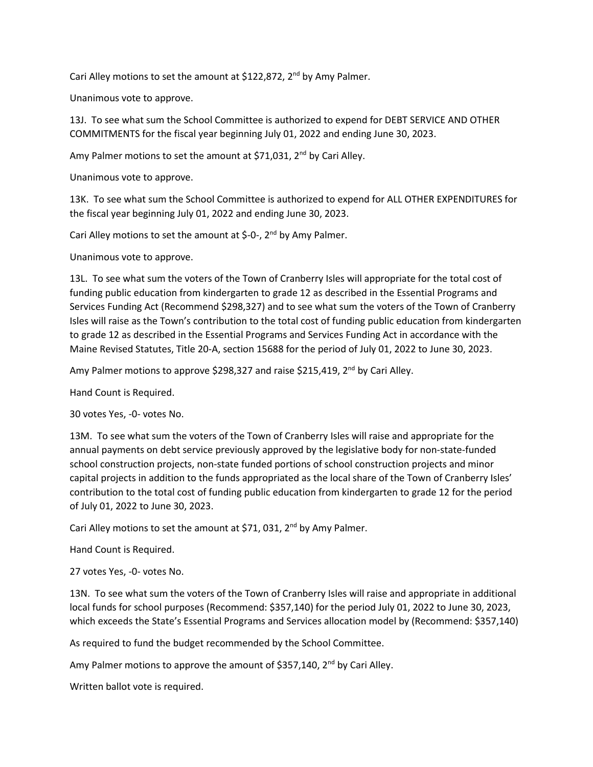Cari Alley motions to set the amount at \$122,872,  $2^{nd}$  by Amy Palmer.

Unanimous vote to approve.

13J. To see what sum the School Committee is authorized to expend for DEBT SERVICE AND OTHER COMMITMENTS for the fiscal year beginning July 01, 2022 and ending June 30, 2023.

Amy Palmer motions to set the amount at \$71,031, 2<sup>nd</sup> by Cari Alley.

Unanimous vote to approve.

13K. To see what sum the School Committee is authorized to expend for ALL OTHER EXPENDITURES for the fiscal year beginning July 01, 2022 and ending June 30, 2023.

Cari Alley motions to set the amount at \$-0-,  $2^{nd}$  by Amy Palmer.

Unanimous vote to approve.

13L. To see what sum the voters of the Town of Cranberry Isles will appropriate for the total cost of funding public education from kindergarten to grade 12 as described in the Essential Programs and Services Funding Act (Recommend \$298,327) and to see what sum the voters of the Town of Cranberry Isles will raise as the Town's contribution to the total cost of funding public education from kindergarten to grade 12 as described in the Essential Programs and Services Funding Act in accordance with the Maine Revised Statutes, Title 20-A, section 15688 for the period of July 01, 2022 to June 30, 2023.

Amy Palmer motions to approve \$298,327 and raise \$215,419, 2<sup>nd</sup> by Cari Alley.

Hand Count is Required.

30 votes Yes, -0- votes No.

13M. To see what sum the voters of the Town of Cranberry Isles will raise and appropriate for the annual payments on debt service previously approved by the legislative body for non-state-funded school construction projects, non-state funded portions of school construction projects and minor capital projects in addition to the funds appropriated as the local share of the Town of Cranberry Isles' contribution to the total cost of funding public education from kindergarten to grade 12 for the period of July 01, 2022 to June 30, 2023.

Cari Alley motions to set the amount at \$71, 031, 2<sup>nd</sup> by Amy Palmer.

Hand Count is Required.

27 votes Yes, -0- votes No.

13N. To see what sum the voters of the Town of Cranberry Isles will raise and appropriate in additional local funds for school purposes (Recommend: \$357,140) for the period July 01, 2022 to June 30, 2023, which exceeds the State's Essential Programs and Services allocation model by (Recommend: \$357,140)

As required to fund the budget recommended by the School Committee.

Amy Palmer motions to approve the amount of \$357,140, 2<sup>nd</sup> by Cari Alley.

Written ballot vote is required.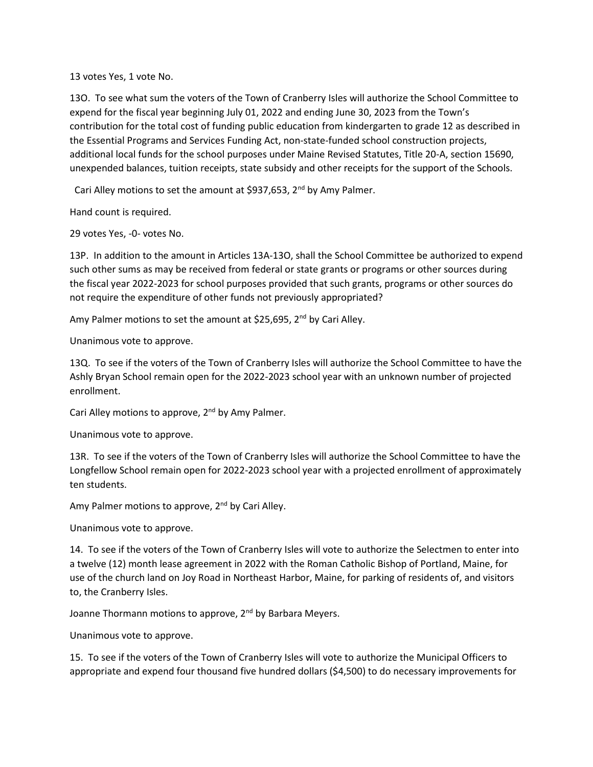13 votes Yes, 1 vote No.

13O. To see what sum the voters of the Town of Cranberry Isles will authorize the School Committee to expend for the fiscal year beginning July 01, 2022 and ending June 30, 2023 from the Town's contribution for the total cost of funding public education from kindergarten to grade 12 as described in the Essential Programs and Services Funding Act, non-state-funded school construction projects, additional local funds for the school purposes under Maine Revised Statutes, Title 20-A, section 15690, unexpended balances, tuition receipts, state subsidy and other receipts for the support of the Schools.

Cari Alley motions to set the amount at \$937,653, 2<sup>nd</sup> by Amy Palmer.

Hand count is required.

29 votes Yes, -0- votes No.

13P. In addition to the amount in Articles 13A-13O, shall the School Committee be authorized to expend such other sums as may be received from federal or state grants or programs or other sources during the fiscal year 2022-2023 for school purposes provided that such grants, programs or other sources do not require the expenditure of other funds not previously appropriated?

Amy Palmer motions to set the amount at \$25,695, 2<sup>nd</sup> by Cari Alley.

Unanimous vote to approve.

13Q. To see if the voters of the Town of Cranberry Isles will authorize the School Committee to have the Ashly Bryan School remain open for the 2022-2023 school year with an unknown number of projected enrollment.

Cari Alley motions to approve,  $2^{nd}$  by Amy Palmer.

Unanimous vote to approve.

13R. To see if the voters of the Town of Cranberry Isles will authorize the School Committee to have the Longfellow School remain open for 2022-2023 school year with a projected enrollment of approximately ten students.

Amy Palmer motions to approve, 2<sup>nd</sup> by Cari Alley.

Unanimous vote to approve.

14. To see if the voters of the Town of Cranberry Isles will vote to authorize the Selectmen to enter into a twelve (12) month lease agreement in 2022 with the Roman Catholic Bishop of Portland, Maine, for use of the church land on Joy Road in Northeast Harbor, Maine, for parking of residents of, and visitors to, the Cranberry Isles.

Joanne Thormann motions to approve, 2<sup>nd</sup> by Barbara Meyers.

Unanimous vote to approve.

15. To see if the voters of the Town of Cranberry Isles will vote to authorize the Municipal Officers to appropriate and expend four thousand five hundred dollars (\$4,500) to do necessary improvements for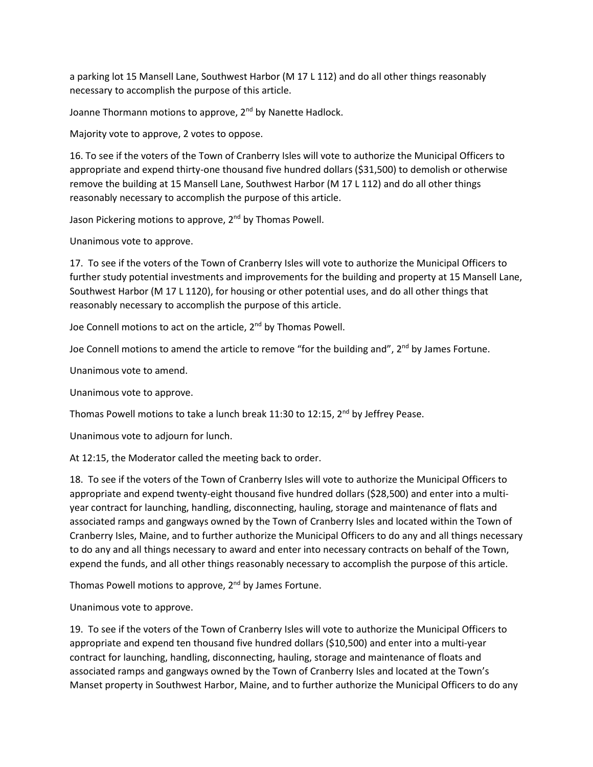a parking lot 15 Mansell Lane, Southwest Harbor (M 17 L 112) and do all other things reasonably necessary to accomplish the purpose of this article.

Joanne Thormann motions to approve, 2<sup>nd</sup> by Nanette Hadlock.

Majority vote to approve, 2 votes to oppose.

16. To see if the voters of the Town of Cranberry Isles will vote to authorize the Municipal Officers to appropriate and expend thirty-one thousand five hundred dollars (\$31,500) to demolish or otherwise remove the building at 15 Mansell Lane, Southwest Harbor (M 17 L 112) and do all other things reasonably necessary to accomplish the purpose of this article.

Jason Pickering motions to approve, 2<sup>nd</sup> by Thomas Powell.

Unanimous vote to approve.

17. To see if the voters of the Town of Cranberry Isles will vote to authorize the Municipal Officers to further study potential investments and improvements for the building and property at 15 Mansell Lane, Southwest Harbor (M 17 L 1120), for housing or other potential uses, and do all other things that reasonably necessary to accomplish the purpose of this article.

Joe Connell motions to act on the article, 2<sup>nd</sup> by Thomas Powell.

Joe Connell motions to amend the article to remove "for the building and", 2<sup>nd</sup> by James Fortune.

Unanimous vote to amend.

Unanimous vote to approve.

Thomas Powell motions to take a lunch break 11:30 to 12:15, 2<sup>nd</sup> by Jeffrey Pease.

Unanimous vote to adjourn for lunch.

At 12:15, the Moderator called the meeting back to order.

18. To see if the voters of the Town of Cranberry Isles will vote to authorize the Municipal Officers to appropriate and expend twenty-eight thousand five hundred dollars (\$28,500) and enter into a multiyear contract for launching, handling, disconnecting, hauling, storage and maintenance of flats and associated ramps and gangways owned by the Town of Cranberry Isles and located within the Town of Cranberry Isles, Maine, and to further authorize the Municipal Officers to do any and all things necessary to do any and all things necessary to award and enter into necessary contracts on behalf of the Town, expend the funds, and all other things reasonably necessary to accomplish the purpose of this article.

Thomas Powell motions to approve,  $2^{nd}$  by James Fortune.

Unanimous vote to approve.

19. To see if the voters of the Town of Cranberry Isles will vote to authorize the Municipal Officers to appropriate and expend ten thousand five hundred dollars (\$10,500) and enter into a multi-year contract for launching, handling, disconnecting, hauling, storage and maintenance of floats and associated ramps and gangways owned by the Town of Cranberry Isles and located at the Town's Manset property in Southwest Harbor, Maine, and to further authorize the Municipal Officers to do any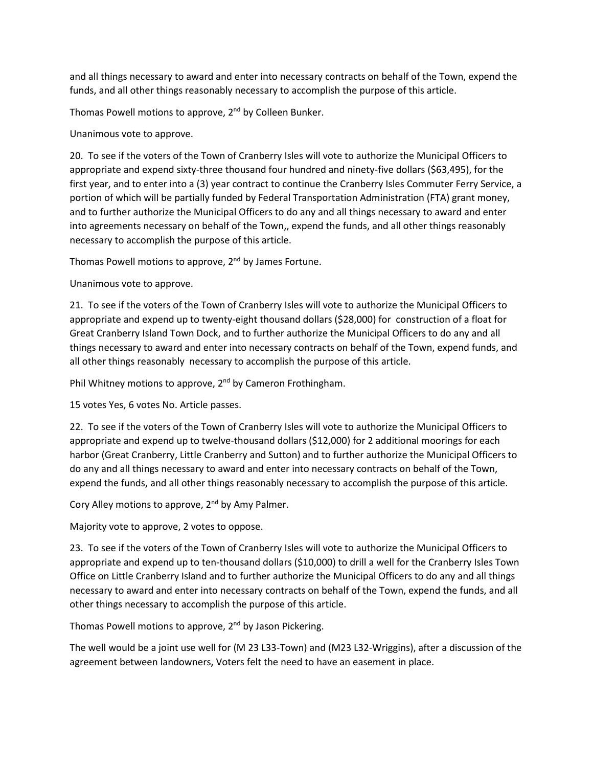and all things necessary to award and enter into necessary contracts on behalf of the Town, expend the funds, and all other things reasonably necessary to accomplish the purpose of this article.

Thomas Powell motions to approve, 2<sup>nd</sup> by Colleen Bunker.

Unanimous vote to approve.

20. To see if the voters of the Town of Cranberry Isles will vote to authorize the Municipal Officers to appropriate and expend sixty-three thousand four hundred and ninety-five dollars (\$63,495), for the first year, and to enter into a (3) year contract to continue the Cranberry Isles Commuter Ferry Service, a portion of which will be partially funded by Federal Transportation Administration (FTA) grant money, and to further authorize the Municipal Officers to do any and all things necessary to award and enter into agreements necessary on behalf of the Town,, expend the funds, and all other things reasonably necessary to accomplish the purpose of this article.

Thomas Powell motions to approve, 2<sup>nd</sup> by James Fortune.

Unanimous vote to approve.

21. To see if the voters of the Town of Cranberry Isles will vote to authorize the Municipal Officers to appropriate and expend up to twenty-eight thousand dollars (\$28,000) for construction of a float for Great Cranberry Island Town Dock, and to further authorize the Municipal Officers to do any and all things necessary to award and enter into necessary contracts on behalf of the Town, expend funds, and all other things reasonably necessary to accomplish the purpose of this article.

Phil Whitney motions to approve, 2<sup>nd</sup> by Cameron Frothingham.

15 votes Yes, 6 votes No. Article passes.

22. To see if the voters of the Town of Cranberry Isles will vote to authorize the Municipal Officers to appropriate and expend up to twelve-thousand dollars (\$12,000) for 2 additional moorings for each harbor (Great Cranberry, Little Cranberry and Sutton) and to further authorize the Municipal Officers to do any and all things necessary to award and enter into necessary contracts on behalf of the Town, expend the funds, and all other things reasonably necessary to accomplish the purpose of this article.

Cory Alley motions to approve,  $2<sup>nd</sup>$  by Amy Palmer.

Majority vote to approve, 2 votes to oppose.

23. To see if the voters of the Town of Cranberry Isles will vote to authorize the Municipal Officers to appropriate and expend up to ten-thousand dollars (\$10,000) to drill a well for the Cranberry Isles Town Office on Little Cranberry Island and to further authorize the Municipal Officers to do any and all things necessary to award and enter into necessary contracts on behalf of the Town, expend the funds, and all other things necessary to accomplish the purpose of this article.

Thomas Powell motions to approve, 2<sup>nd</sup> by Jason Pickering.

The well would be a joint use well for (M 23 L33-Town) and (M23 L32-Wriggins), after a discussion of the agreement between landowners, Voters felt the need to have an easement in place.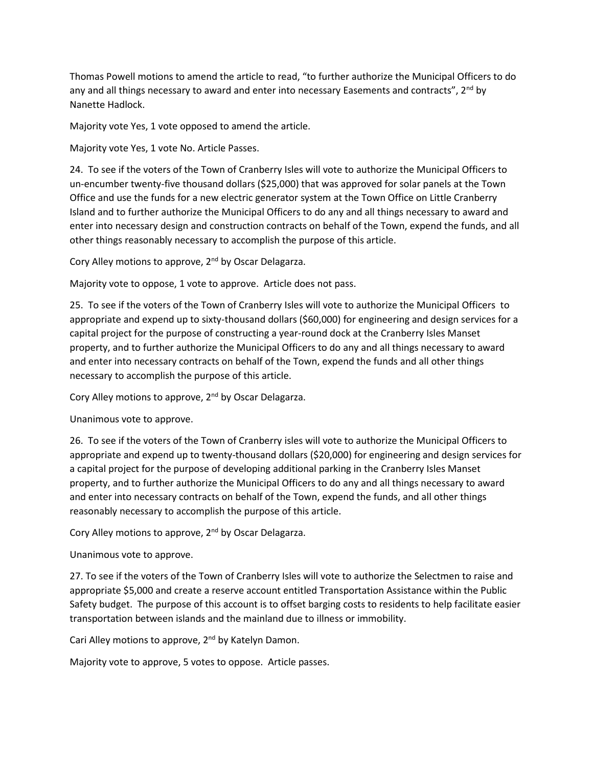Thomas Powell motions to amend the article to read, "to further authorize the Municipal Officers to do any and all things necessary to award and enter into necessary Easements and contracts",  $2^{nd}$  by Nanette Hadlock.

Majority vote Yes, 1 vote opposed to amend the article.

Majority vote Yes, 1 vote No. Article Passes.

24. To see if the voters of the Town of Cranberry Isles will vote to authorize the Municipal Officers to un-encumber twenty-five thousand dollars (\$25,000) that was approved for solar panels at the Town Office and use the funds for a new electric generator system at the Town Office on Little Cranberry Island and to further authorize the Municipal Officers to do any and all things necessary to award and enter into necessary design and construction contracts on behalf of the Town, expend the funds, and all other things reasonably necessary to accomplish the purpose of this article.

Cory Alley motions to approve, 2<sup>nd</sup> by Oscar Delagarza.

Majority vote to oppose, 1 vote to approve. Article does not pass.

25. To see if the voters of the Town of Cranberry Isles will vote to authorize the Municipal Officers to appropriate and expend up to sixty-thousand dollars (\$60,000) for engineering and design services for a capital project for the purpose of constructing a year-round dock at the Cranberry Isles Manset property, and to further authorize the Municipal Officers to do any and all things necessary to award and enter into necessary contracts on behalf of the Town, expend the funds and all other things necessary to accomplish the purpose of this article.

Cory Alley motions to approve, 2<sup>nd</sup> by Oscar Delagarza.

Unanimous vote to approve.

26. To see if the voters of the Town of Cranberry isles will vote to authorize the Municipal Officers to appropriate and expend up to twenty-thousand dollars (\$20,000) for engineering and design services for a capital project for the purpose of developing additional parking in the Cranberry Isles Manset property, and to further authorize the Municipal Officers to do any and all things necessary to award and enter into necessary contracts on behalf of the Town, expend the funds, and all other things reasonably necessary to accomplish the purpose of this article.

Cory Alley motions to approve, 2<sup>nd</sup> by Oscar Delagarza.

Unanimous vote to approve.

27. To see if the voters of the Town of Cranberry Isles will vote to authorize the Selectmen to raise and appropriate \$5,000 and create a reserve account entitled Transportation Assistance within the Public Safety budget. The purpose of this account is to offset barging costs to residents to help facilitate easier transportation between islands and the mainland due to illness or immobility.

Cari Alley motions to approve, 2<sup>nd</sup> by Katelyn Damon.

Majority vote to approve, 5 votes to oppose. Article passes.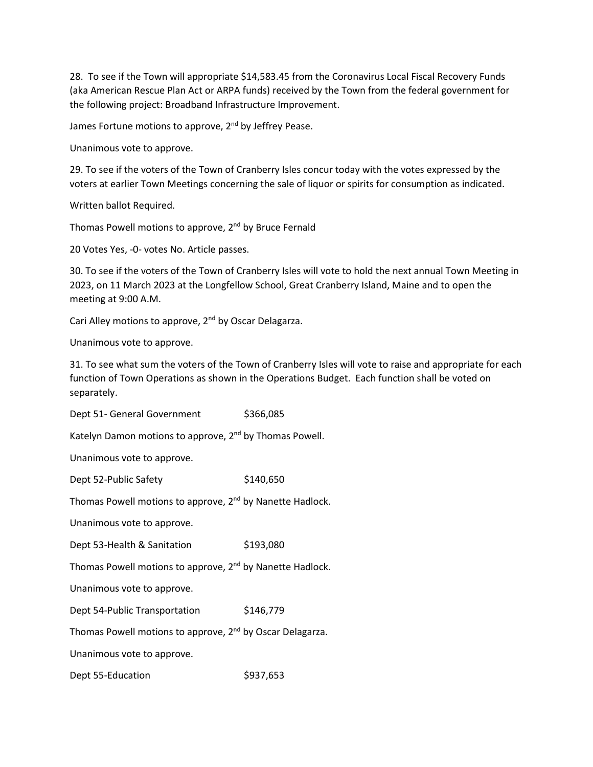28. To see if the Town will appropriate \$14,583.45 from the Coronavirus Local Fiscal Recovery Funds (aka American Rescue Plan Act or ARPA funds) received by the Town from the federal government for the following project: Broadband Infrastructure Improvement.

James Fortune motions to approve, 2<sup>nd</sup> by Jeffrey Pease.

Unanimous vote to approve.

29. To see if the voters of the Town of Cranberry Isles concur today with the votes expressed by the voters at earlier Town Meetings concerning the sale of liquor or spirits for consumption as indicated.

Written ballot Required.

Thomas Powell motions to approve, 2<sup>nd</sup> by Bruce Fernald

20 Votes Yes, -0- votes No. Article passes.

30. To see if the voters of the Town of Cranberry Isles will vote to hold the next annual Town Meeting in 2023, on 11 March 2023 at the Longfellow School, Great Cranberry Island, Maine and to open the meeting at 9:00 A.M.

Cari Alley motions to approve, 2<sup>nd</sup> by Oscar Delagarza.

Unanimous vote to approve.

31. To see what sum the voters of the Town of Cranberry Isles will vote to raise and appropriate for each function of Town Operations as shown in the Operations Budget. Each function shall be voted on separately.

Dept 51- General Government \$366,085

Katelyn Damon motions to approve, 2<sup>nd</sup> by Thomas Powell.

Unanimous vote to approve.

Dept 52-Public Safety \$140,650

Thomas Powell motions to approve, 2<sup>nd</sup> by Nanette Hadlock.

Unanimous vote to approve.

Dept 53-Health & Sanitation \$193,080

Thomas Powell motions to approve, 2<sup>nd</sup> by Nanette Hadlock.

Unanimous vote to approve.

Dept 54-Public Transportation \$146,779

Thomas Powell motions to approve, 2<sup>nd</sup> by Oscar Delagarza.

Unanimous vote to approve.

Dept 55-Education \$937,653